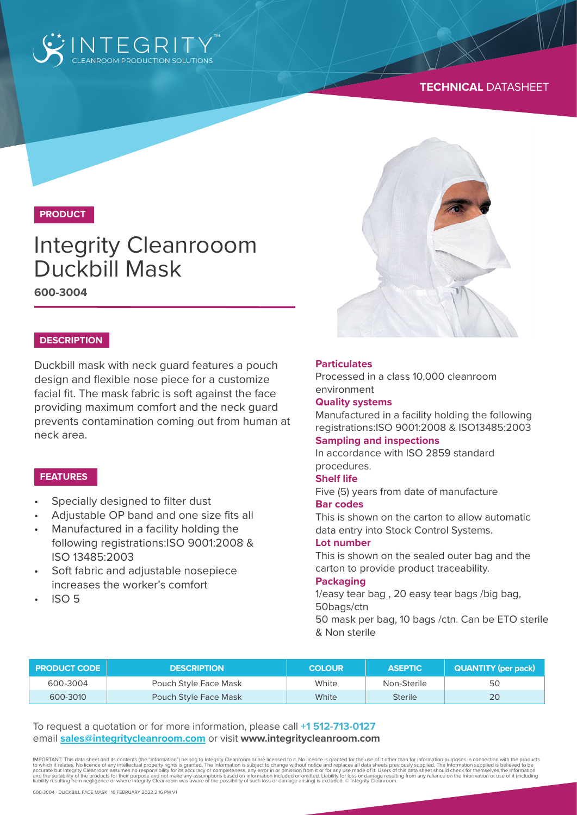

# **TECHNICAL** DATASHEET

# **PRODUCT**

# Integrity Cleanrooom Duckbill Mask

**600-3004**

#### **DESCRIPTION**

Duckbill mask with neck guard features a pouch design and flexible nose piece for a customize facial fit. The mask fabric is soft against the face providing maximum comfort and the neck guard prevents contamination coming out from human at neck area.

### **FEATURES**

- Specially designed to filter dust
- Adjustable OP band and one size fits all
- Manufactured in a facility holding the following registrations:ISO 9001:2008 & ISO 13485:2003
- Soft fabric and adjustable nosepiece increases the worker's comfort
- $ISO<sub>5</sub>$

#### **Particulates**

Processed in a class 10,000 cleanroom environment

#### **Quality systems**

Manufactured in a facility holding the following registrations:ISO 9001:2008 & ISO13485:2003

#### **Sampling and inspections**

In accordance with ISO 2859 standard procedures.

#### **Shelf life**

Five (5) years from date of manufacture **Bar codes**

# This is shown on the carton to allow automatic

data entry into Stock Control Systems.

#### **Lot number**

This is shown on the sealed outer bag and the carton to provide product traceability.

#### **Packaging**

1/easy tear bag , 20 easy tear bags /big bag, 50bags/ctn

50 mask per bag, 10 bags /ctn. Can be ETO sterile & Non sterile

| <b>PRODUCT CODE</b> | <b>DESCRIPTION</b>           | <b>COLOUR</b> | <b>ASEPTIC</b> | <b>QUANTITY (per pack)</b> |
|---------------------|------------------------------|---------------|----------------|----------------------------|
| 600-3004            | Pouch Style Face Mask        | White         | Non-Sterile    | 50                         |
| 600-3010            | <b>Pouch Style Face Mask</b> | <b>White</b>  | <b>Sterile</b> | 20                         |

To request a quotation or for more information, please call **+1 512-713-0127** email **sales@integritycleanroom.com** or visit **www.integritycleanroom.com**

IMPORTANT: This data sheet and its contents (the "Information") belong to Integrity Cleanroom or are licensed to it. No licence is granted for the use of it other than for information purposes in connection with the products to which it relates. No licence of any intellectual property rights is granted. The Information is subject to change without notice and replaces all data sheets previously supplied. The Information supplied is believed to